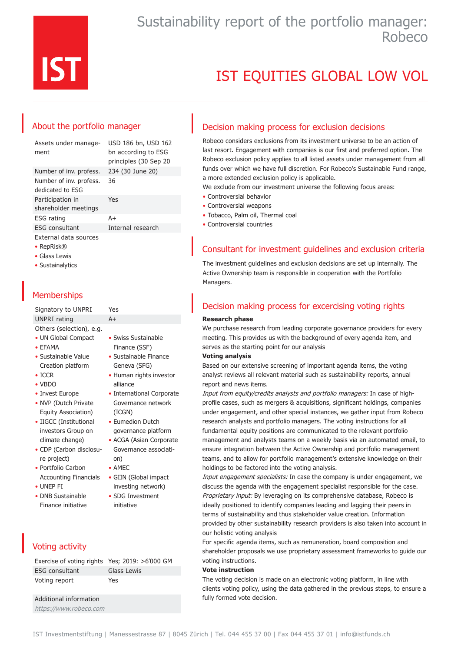

# Sustainability report of the portfolio manager: Robeco

# IST EQUITIES GLOBAL LOW VOL

## About the portfolio manager

Assets under management

USD 186 bn, USD 162 bn according to ESG principles (30 Sep 20 Number of inv. profess. 234 (30 June 20) Number of inv. profess. 36

dedicated to ESG Participation in shareholder meetings Yes ESG rating A+ ESG consultant Thernal research External data sources

- RepRisk®
- Glass Lewis
- Sustainalytics

# **Memberships**

Signatory to UNPRI Yes UNPRI rating A+

- Others (selection), e.g.
- UN Global Compact • EFAMA
- Sustainable Value
- Creation platform
- ICCR
- VBDO
- Invest Europe
- NVP (Dutch Private Equity Association)
- IIGCC (Institutional investors Group on climate change)
- CDP (Carbon disclosure project)
- Portfolio Carbon Accounting Financials
- UNEP FI
- DNB Sustainable Finance initiative

# Voting activity

| Exercise of voting rights Yes; 2019: >6'000 GM |             |
|------------------------------------------------|-------------|
| <b>ESG</b> consultant                          | Glass Lewis |
| Voting report                                  | Yes         |

Additional information https://www.robeco.com

- Swiss Sustainable Finance (SSF)
- Sustainable Finance Geneva (SFG)
- Human rights investor alliance • International Corporate
- Governance network (ICGN)
- Eumedion Dutch governance platform
- ACGA (Asian Corporate Governance association)
- AMEC
- GIIN (Global impact investing network)
- SDG Investment initiative

## Decision making process for exclusion decisions

Robeco considers exclusions from its investment universe to be an action of last resort. Engagement with companies is our first and preferred option. The Robeco exclusion policy applies to all listed assets under management from all funds over which we have full discretion. For Robeco's Sustainable Fund range, a more extended exclusion policy is applicable.

We exclude from our investment universe the following focus areas:

- Controversial behavior
- Controversial weapons
- Tobacco, Palm oil, Thermal coal
- Controversial countries

# Consultant for investment guidelines and exclusion criteria

The investment guidelines and exclusion decisions are set up internally. The Active Ownership team is responsible in cooperation with the Portfolio Managers.

## Decision making process for excercising voting rights

### **Research phase**

We purchase research from leading corporate governance providers for every meeting. This provides us with the background of every agenda item, and serves as the starting point for our analysis

### **Voting analysis**

Based on our extensive screening of important agenda items, the voting analyst reviews all relevant material such as sustainability reports, annual report and news items.

Input from equity/credits analysts and portfolio managers: In case of highprofile cases, such as mergers & acquisitions, significant holdings, companies under engagement, and other special instances, we gather input from Robeco research analysts and portfolio managers. The voting instructions for all fundamental equity positions are communicated to the relevant portfolio management and analysts teams on a weekly basis via an automated email, to ensure integration between the Active Ownership and portfolio management teams, and to allow for portfolio management's extensive knowledge on their holdings to be factored into the voting analysis.

Input engagement specialists: In case the company is under engagement, we discuss the agenda with the engagement specialist responsible for the case. Proprietary input: By leveraging on its comprehensive database, Robeco is ideally positioned to identify companies leading and lagging their peers in terms of sustainability and thus stakeholder value creation. Information provided by other sustainability research providers is also taken into account in our holistic voting analysis

For specific agenda items, such as remuneration, board composition and shareholder proposals we use proprietary assessment frameworks to guide our voting instructions.

### **Vote instruction**

The voting decision is made on an electronic voting platform, in line with clients voting policy, using the data gathered in the previous steps, to ensure a fully formed vote decision.